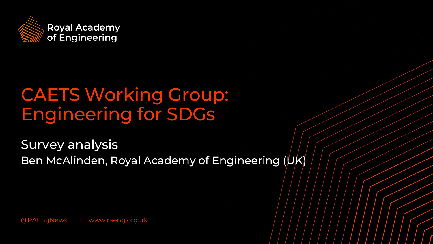

# CAETS Working Group: Engineering for SDGs

Survey analysis Ben McAlinden, Royal Academy of Engineering (UK)

@RAEngNews | www.raeng.org.uk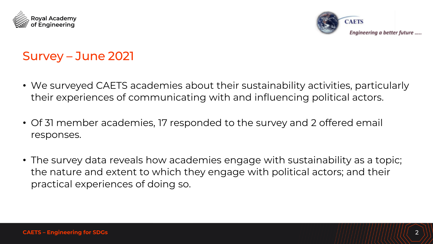



# Survey – June 2021

- We surveyed CAETS academies about their sustainability activities, particularly their experiences of communicating with and influencing political actors.
- Of 31 member academies, 17 responded to the survey and 2 offered email responses.
- The survey data reveals how academies engage with sustainability as a topic; the nature and extent to which they engage with political actors; and their practical experiences of doing so.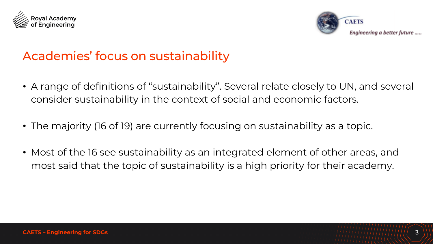



### Academies' focus on sustainability

- A range of definitions of "sustainability". Several relate closely to UN, and several consider sustainability in the context of social and economic factors.
- The majority (16 of 19) are currently focusing on sustainability as a topic.
- Most of the 16 see sustainability as an integrated element of other areas, and most said that the topic of sustainability is a high priority for their academy.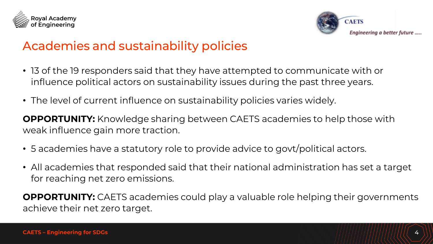



## Academies and sustainability policies

- 13 of the 19 responders said that they have attempted to communicate with or influence political actors on sustainability issues during the past three years.
- The level of current influence on sustainability policies varies widely.

**OPPORTUNITY:** Knowledge sharing between CAETS academies to help those with weak influence gain more traction.

- 5 academies have a statutory role to provide advice to govt/political actors.
- All academies that responded said that their national administration has set a target for reaching net zero emissions.

**OPPORTUNITY:** CAETS academies could play a valuable role helping their governments achieve their net zero target.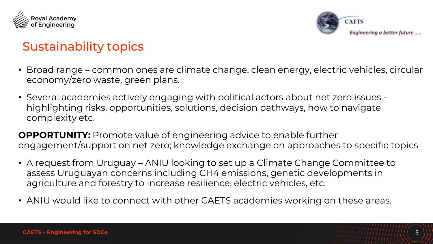



# Sustainability topics

- Broad range common ones are climate change, clean energy, electric vehicles, circular economy/zero waste, green plans.
- Several academies actively engaging with political actors about net zero issues highlighting risks, opportunities, solutions, decision pathways, how to navigate complexity etc.

**OPPORTUNITY:** Promote value of engineering advice to enable further engagement/support on net zero; knowledge exchange on approaches to specific topics

- A request from Uruguay ANIU looking to set up a Climate Change Committee to assess Uruguayan concerns including CH4 emissions, genetic developments in agriculture and forestry to increase resilience, electric vehicles, etc.
- ANIU would like to connect with other CAETS academies working on these areas.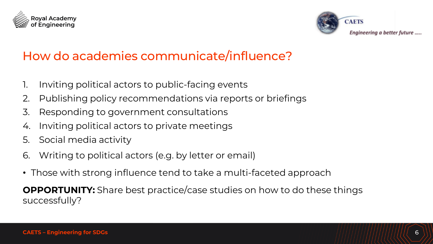



# How do academies communicate/influence?

- 1. Inviting political actors to public-facing events
- 2. Publishing policy recommendations via reports or briefings
- 3. Responding to government consultations
- 4. Inviting political actors to private meetings
- 5. Social media activity
- 6. Writing to political actors (e.g. by letter or email)
- Those with strong influence tend to take a multi-faceted approach

**OPPORTUNITY:** Share best practice/case studies on how to do these things successfully?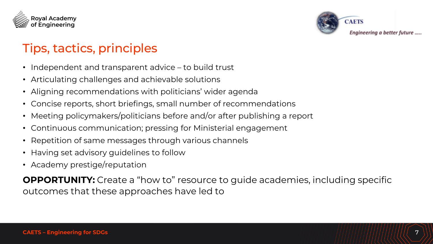



# Tips, tactics, principles

- Independent and transparent advice to build trust
- Articulating challenges and achievable solutions
- Aligning recommendations with politicians' wider agenda
- Concise reports, short briefings, small number of recommendations
- Meeting policymakers/politicians before and/or after publishing a report
- Continuous communication; pressing for Ministerial engagement
- Repetition of same messages through various channels
- Having set advisory guidelines to follow
- Academy prestige/reputation

**OPPORTUNITY:** Create a "how to" resource to guide academies, including specific outcomes that these approaches have led to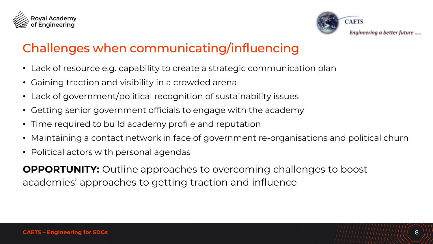



# Challenges when communicating/influencing

- Lack of resource e.g. capability to create a strategic communication plan
- Gaining traction and visibility in a crowded arena
- Lack of government/political recognition of sustainability issues
- Getting senior government officials to engage with the academy
- Time required to build academy profile and reputation
- Maintaining a contact network in face of government re-organisations and political churn
- Political actors with personal agendas

**OPPORTUNITY:** Outline approaches to overcoming challenges to boost academies' approaches to getting traction and influence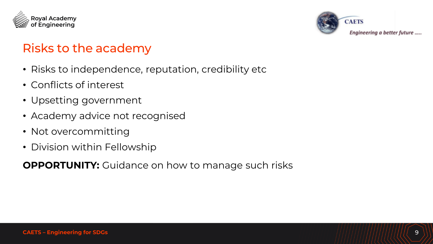



## Risks to the academy

- Risks to independence, reputation, credibility etc
- Conflicts of interest
- Upsetting government
- Academy advice not recognised
- Not overcommitting
- Division within Fellowship

**OPPORTUNITY:** Guidance on how to manage such risks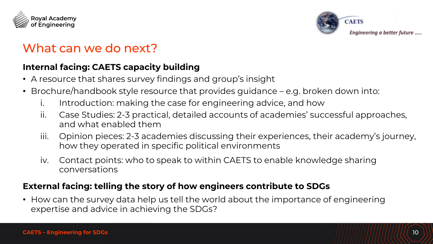



### What can we do next?

#### **Internal facing: CAETS capacity building**

- A resource that shares survey findings and group's insight
- Brochure/handbook style resource that provides guidance e.g. broken down into:
	- i. Introduction: making the case for engineering advice, and how
	- ii. Case Studies: 2-3 practical, detailed accounts of academies' successful approaches, and what enabled them
	- iii. Opinion pieces: 2-3 academies discussing their experiences, their academy's journey, how they operated in specific political environments
	- iv. Contact points: who to speak to within CAETS to enable knowledge sharing conversations

#### **External facing: telling the story of how engineers contribute to SDGs**

• How can the survey data help us tell the world about the importance of engineering expertise and advice in achieving the SDGs?